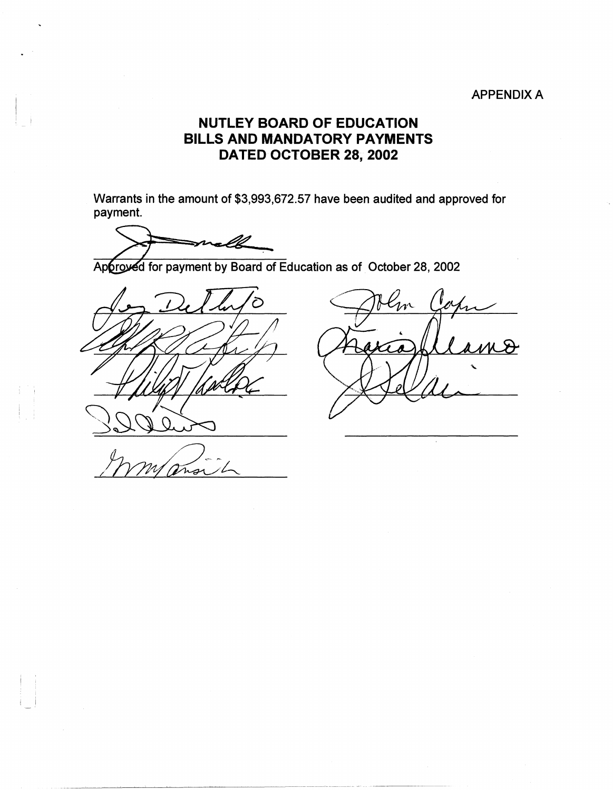## APPENDIX A

## **NUTLEY BOARD OF EDUCATION BILLS AND MANDATORY PAYMENTS DATED OCTOBER 28, 2002**

Warrants in the amount of \$3,993,672.57 have been audited and approved for payment.

Approved for payment by Board of Education as of October 28, 2002



 $n_{\rm A}$  $\bm{\mathcal{S}}$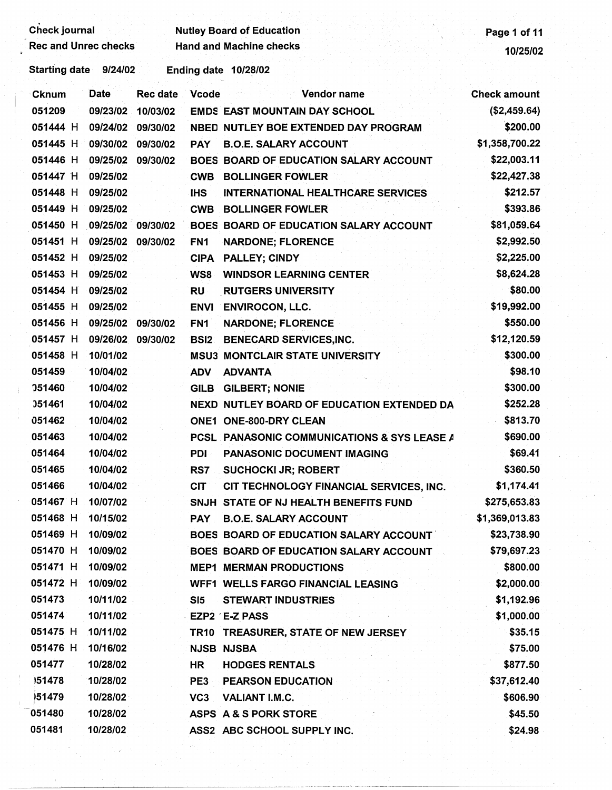| <b>Check journal</b> |                             |                 |                 | <b>Nutley Board of Education</b>            | Page 1 of 11        |
|----------------------|-----------------------------|-----------------|-----------------|---------------------------------------------|---------------------|
|                      | <b>Rec and Unrec checks</b> |                 |                 | <b>Hand and Machine checks</b>              | 10/25/02            |
| <b>Starting date</b> | 9/24/02                     |                 |                 | Ending date 10/28/02                        |                     |
| <b>Cknum</b>         | <b>Date</b>                 | <b>Rec date</b> | <b>Vcode</b>    | Vendor name                                 | <b>Check amount</b> |
| 051209               | 09/23/02                    | 10/03/02        |                 | <b>EMDS EAST MOUNTAIN DAY SCHOOL</b>        | (\$2,459.64)        |
| 051444 H             | 09/24/02                    | 09/30/02        |                 | NBED NUTLEY BOE EXTENDED DAY PROGRAM        | \$200.00            |
| 051445 H             | 09/30/02                    | 09/30/02        | <b>PAY</b>      | <b>B.O.E. SALARY ACCOUNT</b>                | \$1,358,700.22      |
| 051446 H             | 09/25/02                    | 09/30/02        |                 | BOES BOARD OF EDUCATION SALARY ACCOUNT      | \$22,003.11         |
| 051447 H             | 09/25/02                    |                 | <b>CWB</b>      | <b>BOLLINGER FOWLER</b>                     | \$22,427.38         |
| 051448 H             | 09/25/02                    |                 | <b>IHS</b>      | <b>INTERNATIONAL HEALTHCARE SERVICES</b>    | \$212.57            |
| 051449 H             | 09/25/02                    |                 | <b>CWB</b>      | <b>BOLLINGER FOWLER</b>                     | \$393.86            |
| 051450 H             | 09/25/02 09/30/02           |                 |                 | BOES BOARD OF EDUCATION SALARY ACCOUNT      | \$81,059.64         |
| 051451 H             | 09/25/02                    | 09/30/02        | FN <sub>1</sub> | <b>NARDONE; FLORENCE</b>                    | \$2,992.50          |
| 051452 H             | 09/25/02                    |                 | <b>CIPA</b>     | PALLEY; CINDY                               | \$2,225.00          |
| 051453 H             | 09/25/02                    |                 | WS8             | <b>WINDSOR LEARNING CENTER</b>              | \$8,624.28          |
| 051454 H             | 09/25/02                    |                 | <b>RU</b>       | <b>RUTGERS UNIVERSITY</b>                   | \$80.00             |
| 051455 H             | 09/25/02                    |                 | <b>ENVI</b>     | <b>ENVIROCON, LLC.</b>                      | \$19,992.00         |
| 051456 H             | 09/25/02                    | 09/30/02        | FN <sub>1</sub> | <b>NARDONE; FLORENCE</b>                    | \$550.00            |
| 051457 H             | 09/26/02                    | 09/30/02        | <b>BSI2</b>     | <b>BENECARD SERVICES, INC.</b>              | \$12,120.59         |
| 051458 H             | 10/01/02                    |                 |                 | <b>MSU3 MONTCLAIR STATE UNIVERSITY</b>      | \$300.00            |
| 051459               | 10/04/02                    |                 | <b>ADV</b>      | <b>ADVANTA</b>                              | \$98.10             |
| 051460               | 10/04/02                    |                 | <b>GILB</b>     | <b>GILBERT; NONIE</b>                       | \$300.00            |
| 051461               | 10/04/02                    |                 |                 | NEXD NUTLEY BOARD OF EDUCATION EXTENDED DA  | \$252.28            |
| 051462               | 10/04/02                    |                 |                 | <b>ONE1 ONE-800-DRY CLEAN</b>               | \$813.70            |
| 051463               | 10/04/02                    |                 |                 | PCSL PANASONIC COMMUNICATIONS & SYS LEASE A | \$690.00            |
| 051464               | 10/04/02                    |                 | PDI             | PANASONIC DOCUMENT IMAGING                  | \$69.41             |
| 051465               | 10/04/02                    |                 | RS7             | <b>SUCHOCKI JR; ROBERT</b>                  | \$360.50            |
| 051466               | 10/04/02                    |                 | <b>CIT</b>      | CIT TECHNOLOGY FINANCIAL SERVICES, INC.     | \$1,174.41          |
| 051467 H             | 10/07/02                    |                 |                 | SNJH STATE OF NJ HEALTH BENEFITS FUND       | \$275,653.83        |
| 051468 H             | 10/15/02                    |                 | <b>PAY</b>      | <b>B.O.E. SALARY ACCOUNT</b>                | \$1,369,013.83      |
| 051469 H             | 10/09/02                    |                 |                 | BOES BOARD OF EDUCATION SALARY ACCOUNT      | \$23,738.90         |
| 051470 H             | 10/09/02                    |                 |                 | BOES BOARD OF EDUCATION SALARY ACCOUNT      | \$79,697.23         |
| 051471 H             | 10/09/02                    |                 |                 | <b>MEP1 MERMAN PRODUCTIONS</b>              | \$800.00            |
| 051472 H             | 10/09/02                    |                 |                 | <b>WFF1 WELLS FARGO FINANCIAL LEASING</b>   | \$2,000.00          |
| 051473               | 10/11/02                    |                 | SI5             | <b>STEWART INDUSTRIES</b>                   | \$1,192.96          |
| 051474               | 10/11/02                    |                 |                 | EZP2 E-Z PASS                               | \$1,000.00          |
| 051475 H             | 10/11/02                    |                 |                 | TR10 TREASURER, STATE OF NEW JERSEY         | \$35.15             |
| 051476 H             | 10/16/02                    |                 |                 | <b>NJSB NJSBA</b>                           | \$75.00             |
| 051477               | 10/28/02                    |                 | HR <sup>1</sup> | <b>HODGES RENTALS</b>                       | \$877.50            |
| 151478               | 10/28/02                    |                 | PE3             | <b>PEARSON EDUCATION</b>                    | \$37,612.40         |
| 151479               | 10/28/02                    |                 | VC <sub>3</sub> | <b>VALIANT I.M.C.</b>                       | \$606.90            |
| 051480               | 10/28/02                    |                 |                 | ASPS A & S PORK STORE                       | \$45.50             |
| 051481               | 10/28/02                    |                 |                 | ASS2 ABC SCHOOL SUPPLY INC.                 | \$24.98             |
|                      |                             |                 |                 |                                             |                     |
|                      |                             |                 |                 |                                             |                     |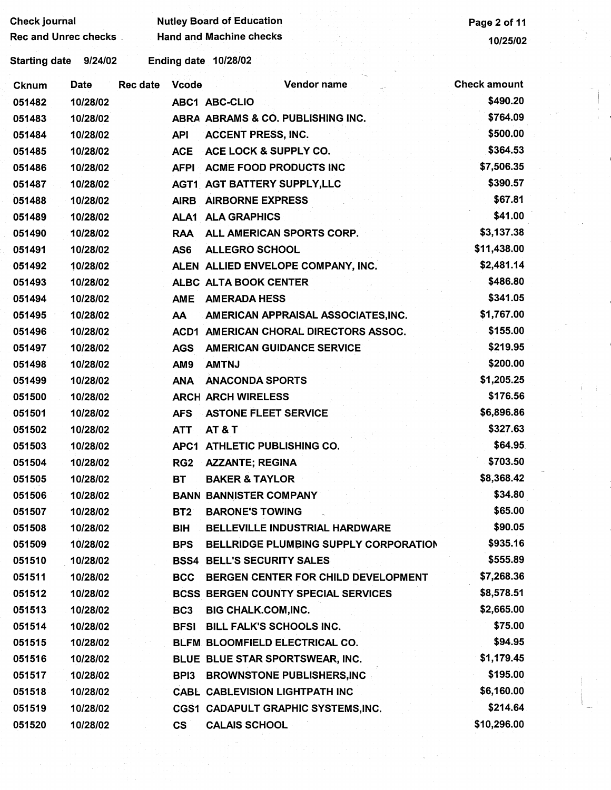| <b>Check journal</b>        |          |                 |                  | <b>Nutley Board of Education</b>           | Page 2 of 11        |
|-----------------------------|----------|-----------------|------------------|--------------------------------------------|---------------------|
| <b>Rec and Unrec checks</b> |          |                 |                  | <b>Hand and Machine checks</b>             | 10/25/02            |
| <b>Starting date</b>        | 9/24/02  |                 |                  | Ending date 10/28/02                       |                     |
| <b>Cknum</b>                | Date     | <b>Rec date</b> | <b>Vcode</b>     | Vendor name                                | <b>Check amount</b> |
| 051482                      | 10/28/02 |                 |                  | <b>ABC1 ABC-CLIO</b>                       | \$490.20            |
| 051483                      | 10/28/02 |                 |                  | ABRA ABRAMS & CO. PUBLISHING INC.          | \$764.09            |
| 051484                      | 10/28/02 |                 | <b>API</b>       | <b>ACCENT PRESS, INC.</b>                  | \$500.00            |
| 051485                      | 10/28/02 |                 | <b>ACE</b>       | ACE LOCK & SUPPLY CO.                      | \$364.53            |
| 051486                      | 10/28/02 |                 | <b>AFPI</b>      | <b>ACME FOOD PRODUCTS INC</b>              | \$7,506.35          |
| 051487                      | 10/28/02 |                 |                  | <b>AGT1 AGT BATTERY SUPPLY, LLC</b>        | \$390.57            |
| 051488                      | 10/28/02 |                 | <b>AIRB</b>      | <b>AIRBORNE EXPRESS</b>                    | \$67.81             |
| 051489                      | 10/28/02 |                 | ALA <sub>1</sub> | <b>ALA GRAPHICS</b>                        | \$41.00             |
| 051490                      | 10/28/02 |                 | <b>RAA</b>       | ALL AMERICAN SPORTS CORP.                  | \$3,137.38          |
| 051491                      | 10/28/02 |                 | AS6              | <b>ALLEGRO SCHOOL</b>                      | \$11,438.00         |
| 051492                      | 10/28/02 |                 |                  | ALEN ALLIED ENVELOPE COMPANY, INC.         | \$2,481.14          |
| 051493                      | 10/28/02 |                 |                  | ALBC ALTA BOOK CENTER                      | \$486.80            |
| 051494                      | 10/28/02 |                 | <b>AME</b>       | <b>AMERADA HESS</b>                        | \$341.05            |
| 051495                      | 10/28/02 |                 | AA               | AMERICAN APPRAISAL ASSOCIATES, INC.        | \$1,767.00          |
| 051496                      | 10/28/02 |                 | ACD1             | AMERICAN CHORAL DIRECTORS ASSOC.           | \$155.00            |
| 051497                      | 10/28/02 |                 | <b>AGS</b>       | <b>AMERICAN GUIDANCE SERVICE</b>           | \$219.95            |
| 051498                      | 10/28/02 |                 | AM <sub>9</sub>  | <b>AMTNJ</b>                               | \$200.00            |
| 051499                      | 10/28/02 |                 | <b>ANA</b>       | <b>ANACONDA SPORTS</b>                     | \$1,205.25          |
| 051500                      | 10/28/02 |                 |                  | <b>ARCH ARCH WIRELESS</b>                  | \$176.56            |
| 051501                      | 10/28/02 |                 | <b>AFS</b>       | <b>ASTONE FLEET SERVICE</b>                | \$6,896.86          |
| 051502                      | 10/28/02 |                 | <b>ATT</b>       | <b>AT &amp; T</b>                          | \$327.63            |
| 051503                      | 10/28/02 |                 |                  | APC1 ATHLETIC PUBLISHING CO.               | \$64.95             |
| 051504                      | 10/28/02 |                 | RG <sub>2</sub>  | <b>AZZANTE; REGINA</b>                     | \$703.50            |
| 051505                      | 10/28/02 |                 | <b>BT</b>        | <b>BAKER &amp; TAYLOR</b>                  | \$8,368.42          |
| 051506                      | 10/28/02 |                 |                  | <b>BANN BANNISTER COMPANY</b>              | \$34.80             |
| 051507                      | 10/28/02 |                 | BT <sub>2</sub>  | <b>BARONE'S TOWING</b>                     | \$65.00             |
| 051508                      | 10/28/02 |                 | <b>BIH</b>       | <b>BELLEVILLE INDUSTRIAL HARDWARE</b>      | \$90.05             |
| 051509                      | 10/28/02 |                 | <b>BPS</b>       | BELLRIDGE PLUMBING SUPPLY CORPORATION      | \$935.16            |
| 051510                      | 10/28/02 |                 |                  | <b>BSS4 BELL'S SECURITY SALES</b>          | \$555.89            |
| 051511                      | 10/28/02 |                 | <b>BCC</b>       | BERGEN CENTER FOR CHILD DEVELOPMENT        | \$7,268.36          |
| 051512                      | 10/28/02 |                 |                  | <b>BCSS BERGEN COUNTY SPECIAL SERVICES</b> | \$8,578.51          |
| 051513                      | 10/28/02 |                 | BC <sub>3</sub>  | <b>BIG CHALK.COM, INC.</b>                 | \$2,665.00          |
| 051514                      | 10/28/02 |                 | <b>BFSI</b>      | <b>BILL FALK'S SCHOOLS INC.</b>            | \$75.00             |
| 051515                      | 10/28/02 |                 |                  | BLFM BLOOMFIELD ELECTRICAL CO.             | \$94.95             |
| 051516                      | 10/28/02 |                 |                  | BLUE BLUE STAR SPORTSWEAR, INC.            | \$1,179.45          |
| 051517                      | 10/28/02 |                 | BPI3             | <b>BROWNSTONE PUBLISHERS,INC</b>           | \$195.00            |
| 051518                      | 10/28/02 |                 |                  | <b>CABL CABLEVISION LIGHTPATH INC</b>      | \$6,160.00          |
| 051519                      | 10/28/02 |                 |                  | CGS1 CADAPULT GRAPHIC SYSTEMS, INC.        | \$214.64            |
| 051520                      | 10/28/02 |                 | $\mathsf{cs}$    | <b>CALAIS SCHOOL</b>                       | \$10,296.00         |

 $\mathcal{F}_{\mathcal{C}}$ 

 $\begin{pmatrix} 1 & 0 \\ 0 & 1 \\ 0 & 1 \end{pmatrix}$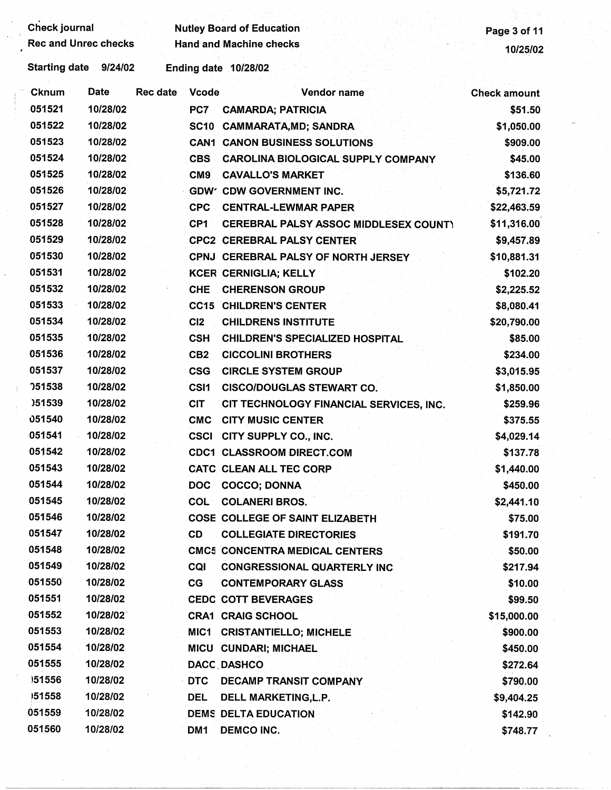| <b>Check journal</b>        |             |                 |                                | <b>Nutley Board of Education</b>          | Page 3 of 11        |
|-----------------------------|-------------|-----------------|--------------------------------|-------------------------------------------|---------------------|
| <b>Rec and Unrec checks</b> |             |                 | <b>Hand and Machine checks</b> | 10/25/02                                  |                     |
| <b>Starting date</b>        | 9/24/02     |                 |                                | Ending date 10/28/02                      |                     |
| ∙Cknum                      | <b>Date</b> | <b>Rec date</b> | <b>Vcode</b>                   | Vendor name                               | <b>Check amount</b> |
| 051521                      | 10/28/02    |                 | PC7                            | <b>CAMARDA; PATRICIA</b>                  | \$51.50             |
| 051522                      | 10/28/02    |                 | <b>SC10</b>                    | <b>CAMMARATA, MD; SANDRA</b>              | \$1,050.00          |
| 051523                      | 10/28/02    |                 |                                | <b>CAN1 CANON BUSINESS SOLUTIONS</b>      | \$909.00            |
| 051524                      | 10/28/02    |                 | <b>CBS</b>                     | <b>CAROLINA BIOLOGICAL SUPPLY COMPANY</b> | \$45.00             |
| 051525                      | 10/28/02    |                 | CM <sub>9</sub>                | <b>CAVALLO'S MARKET</b>                   | \$136.60            |
| 051526                      | 10/28/02    |                 |                                | GDW' CDW GOVERNMENT INC.                  | \$5,721.72          |
| 051527                      | 10/28/02    |                 | <b>CPC</b>                     | <b>CENTRAL-LEWMAR PAPER</b>               | \$22,463.59         |
| 051528                      | 10/28/02    |                 | CP <sub>1</sub>                | CEREBRAL PALSY ASSOC MIDDLESEX COUNTY     | \$11,316.00         |
| 051529                      | 10/28/02    |                 |                                | <b>CPC2 CEREBRAL PALSY CENTER</b>         | \$9,457.89          |
| 051530                      | 10/28/02    |                 |                                | CPNJ CEREBRAL PALSY OF NORTH JERSEY       | \$10,881.31         |
| 051531                      | 10/28/02    |                 |                                | <b>KCER CERNIGLIA; KELLY</b>              | \$102.20            |
| 051532                      | 10/28/02    |                 | <b>CHE</b>                     | <b>CHERENSON GROUP</b>                    | \$2,225.52          |
| 051533                      | 10/28/02    |                 |                                | <b>CC15 CHILDREN'S CENTER</b>             | \$8,080.41          |
| 051534                      | 10/28/02    |                 | CI2                            | <b>CHILDRENS INSTITUTE</b>                | \$20,790.00         |
| 051535                      | 10/28/02    |                 | <b>CSH</b>                     | <b>CHILDREN'S SPECIALIZED HOSPITAL</b>    | \$85.00             |
| 051536                      | 10/28/02    |                 | CB <sub>2</sub>                | <b>CICCOLINI BROTHERS</b>                 | \$234.00            |
| 051537                      | 10/28/02    |                 | <b>CSG</b>                     | <b>CIRCLE SYSTEM GROUP</b>                | \$3,015.95          |
| <b>051538</b>               | 10/28/02    |                 | CSI <sub>1</sub>               | <b>CISCO/DOUGLAS STEWART CO.</b>          | \$1,850.00          |
| )51539                      | 10/28/02    |                 | <b>CIT</b>                     | CIT TECHNOLOGY FINANCIAL SERVICES, INC.   | \$259.96            |
| 051540                      | 10/28/02    |                 | <b>CMC</b>                     | <b>CITY MUSIC CENTER</b>                  | \$375.55            |
| 051541                      | 10/28/02    |                 | <b>CSCI</b>                    | CITY SUPPLY CO., INC.                     | \$4,029.14          |
| 051542                      | 10/28/02    |                 |                                | <b>CDC1 CLASSROOM DIRECT.COM</b>          | \$137.78            |
| 051543                      | 10/28/02    |                 |                                | <b>CATC CLEAN ALL TEC CORP</b>            | \$1,440.00          |
| 051544                      | 10/28/02    |                 |                                | DOC COCCO; DONNA                          | \$450.00            |
| 051545                      | 10/28/02    |                 | COL                            | <b>COLANERI BROS.</b>                     | \$2,441.10          |
| 051546                      | 10/28/02    |                 |                                | COSE COLLEGE OF SAINT ELIZABETH           | \$75.00             |
| 051547                      | 10/28/02    |                 | <b>CD</b>                      | <b>COLLEGIATE DIRECTORIES</b>             | \$191.70            |
| 051548                      | 10/28/02    |                 |                                | <b>CMC5 CONCENTRA MEDICAL CENTERS</b>     | \$50.00             |
| 051549                      | 10/28/02    |                 | <b>CQI</b>                     | <b>CONGRESSIONAL QUARTERLY INC</b>        | \$217.94            |
| 051550                      | 10/28/02    |                 | CG                             | <b>CONTEMPORARY GLASS</b>                 | \$10.00             |
| 051551                      | 10/28/02    |                 |                                | <b>CEDC COTT BEVERAGES</b>                | \$99.50             |
| 051552                      | 10/28/02    |                 |                                | <b>CRA1 CRAIG SCHOOL</b>                  | \$15,000.00         |
| 051553                      | 10/28/02    |                 |                                | MIC1 CRISTANTIELLO; MICHELE               | \$900.00            |
| 051554                      | 10/28/02    |                 |                                | MICU CUNDARI; MICHAEL                     | \$450.00            |
| 051555                      | 10/28/02    |                 |                                | DACC DASHCO                               | \$272.64            |
| 151556                      | 10/28/02    |                 | <b>DTC</b>                     | <b>DECAMP TRANSIT COMPANY</b>             | \$790.00            |
| 151558                      | 10/28/02    |                 | <b>DEL</b>                     | DELL MARKETING, L.P.                      | \$9,404.25          |
| 051559                      | 10/28/02    |                 |                                | <b>DEMS DELTA EDUCATION</b>               | \$142.90            |
| 051560                      | 10/28/02    |                 | DM1                            | <b>DEMCO INC.</b>                         | \$748.77            |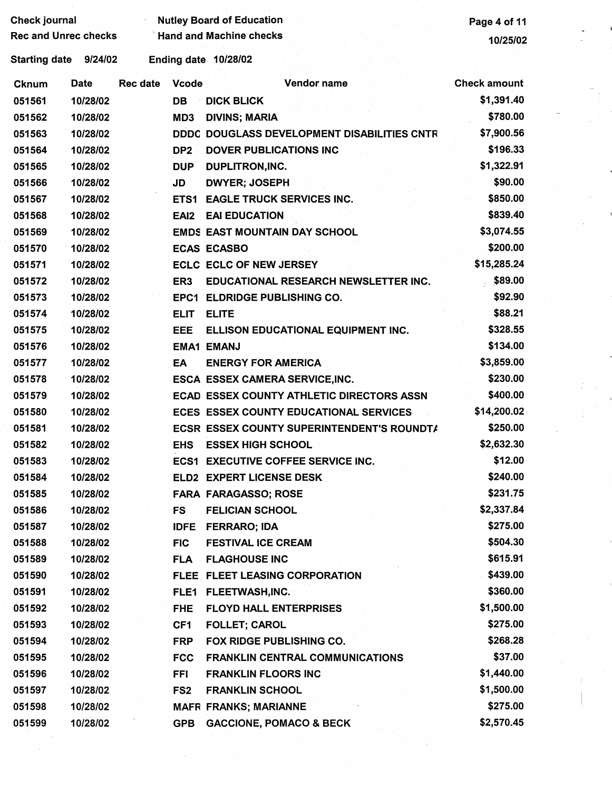| <b>Check journal</b>        |             | <b>Nutley Board of Education</b> |                  |                                               |                     |  |
|-----------------------------|-------------|----------------------------------|------------------|-----------------------------------------------|---------------------|--|
| <b>Rec and Unrec checks</b> |             |                                  |                  | <b>Hand and Machine checks</b>                | 10/25/02            |  |
| <b>Starting date</b>        | 9/24/02     |                                  |                  | Ending date 10/28/02                          |                     |  |
| Cknum                       | <b>Date</b> | <b>Rec date</b>                  | Vcode            | <b>Vendor name</b>                            | <b>Check amount</b> |  |
| 051561                      | 10/28/02    |                                  | <b>DB</b>        | <b>DICK BLICK</b>                             | \$1,391.40          |  |
| 051562                      | 10/28/02    |                                  | MD3              | <b>DIVINS; MARIA</b>                          | \$780.00            |  |
| 051563                      | 10/28/02    |                                  |                  | DDDC DOUGLASS DEVELOPMENT DISABILITIES CNTR   | \$7,900.56          |  |
| 051564                      | 10/28/02    |                                  | DP <sub>2</sub>  | <b>DOVER PUBLICATIONS INC</b>                 | \$196.33            |  |
| 051565                      | 10/28/02    |                                  | <b>DUP</b>       | DUPLITRON, INC.                               | \$1,322.91          |  |
| 051566                      | 10/28/02    |                                  | JD               | <b>DWYER; JOSEPH</b>                          | \$90.00             |  |
| 051567                      | 10/28/02    |                                  | ETS1             | <b>EAGLE TRUCK SERVICES INC.</b>              | \$850.00            |  |
| 051568                      | 10/28/02    |                                  | EAI <sub>2</sub> | <b>EAI EDUCATION</b>                          | \$839.40            |  |
| 051569                      | 10/28/02    |                                  |                  | <b>EMDS EAST MOUNTAIN DAY SCHOOL</b>          | \$3,074.55          |  |
| 051570                      | 10/28/02    |                                  |                  | <b>ECAS ECASBO</b>                            | \$200.00            |  |
| 051571                      | 10/28/02    |                                  |                  | <b>ECLC ECLC OF NEW JERSEY</b>                | \$15,285.24         |  |
| 051572                      | 10/28/02    |                                  | ER3              | EDUCATIONAL RESEARCH NEWSLETTER INC.          | \$89.00             |  |
| 051573                      | 10/28/02    |                                  |                  | <b>EPC1 ELDRIDGE PUBLISHING CO.</b>           | \$92.90             |  |
| 051574                      | 10/28/02    |                                  | <b>ELIT</b>      | <b>ELITE</b>                                  | \$88.21             |  |
| 051575                      | 10/28/02    |                                  | EEE              | ELLISON EDUCATIONAL EQUIPMENT INC.            | \$328.55            |  |
| 051576                      | 10/28/02    |                                  |                  | <b>EMA1 EMANJ</b>                             | \$134.00            |  |
| 051577                      | 10/28/02    |                                  | EA               | <b>ENERGY FOR AMERICA</b>                     | \$3,859.00          |  |
| 051578                      | 10/28/02    |                                  |                  | <b>ESCA ESSEX CAMERA SERVICE, INC.</b>        | \$230.00            |  |
| 051579                      | 10/28/02    |                                  |                  | ECAD ESSEX COUNTY ATHLETIC DIRECTORS ASSN     | \$400.00            |  |
| 051580                      | 10/28/02    |                                  |                  | <b>ECES ESSEX COUNTY EDUCATIONAL SERVICES</b> | \$14,200.02         |  |
| 051581                      | 10/28/02    |                                  |                  | ECSR ESSEX COUNTY SUPERINTENDENT'S ROUNDTA    | \$250.00            |  |
| 051582                      | 10/28/02    |                                  | <b>EHS</b>       | <b>ESSEX HIGH SCHOOL</b>                      | \$2,632.30          |  |
| 051583                      | 10/28/02    |                                  |                  | <b>ECS1 EXECUTIVE COFFEE SERVICE INC.</b>     | \$12.00             |  |
| 051584                      | 10/28/02    |                                  |                  | ELD2 EXPERT LICENSE DESK                      | \$240.00            |  |
| 051585                      | 10/28/02    |                                  |                  | <b>FARA FARAGASSO; ROSE</b>                   | \$231.75            |  |
| 051586                      | 10/28/02    |                                  | FS               | <b>FELICIAN SCHOOL</b>                        | \$2,337.84          |  |
| 051587                      | 10/28/02    |                                  | <b>IDFE</b>      | <b>FERRARO; IDA</b>                           | \$275.00            |  |
| 051588                      | 10/28/02    |                                  | <b>FIC</b>       | <b>FESTIVAL ICE CREAM</b>                     | \$504.30            |  |
| 051589                      | 10/28/02    |                                  | <b>FLA</b>       | <b>FLAGHOUSE INC</b>                          | \$615.91            |  |
| 051590                      | 10/28/02    |                                  |                  | FLEE FLEET LEASING CORPORATION                | \$439.00            |  |
| 051591                      | 10/28/02    |                                  | FLE1             | <b>FLEETWASH,INC.</b>                         | \$360.00            |  |
| 051592                      | 10/28/02    |                                  | <b>FHE</b>       | <b>FLOYD HALL ENTERPRISES</b>                 | \$1,500.00          |  |
| 051593                      | 10/28/02    |                                  | CF1              | <b>FOLLET; CAROL</b>                          | \$275.00            |  |
| 051594                      | 10/28/02    |                                  | <b>FRP</b>       | FOX RIDGE PUBLISHING CO.                      | \$268.28            |  |
| 051595                      | 10/28/02    |                                  | <b>FCC</b>       | <b>FRANKLIN CENTRAL COMMUNICATIONS</b>        | \$37.00             |  |
| 051596                      | 10/28/02    |                                  | <b>FFI</b>       | <b>FRANKLIN FLOORS INC</b>                    | \$1,440.00          |  |
| 051597                      | 10/28/02    |                                  | FS <sub>2</sub>  | <b>FRANKLIN SCHOOL</b>                        | \$1,500.00          |  |
| 051598                      | 10/28/02    |                                  |                  | <b>MAFR FRANKS; MARIANNE</b>                  | \$275.00            |  |
| 051599                      | 10/28/02    |                                  | <b>GPB</b>       | <b>GACCIONE, POMACO &amp; BECK</b>            | \$2,570.45          |  |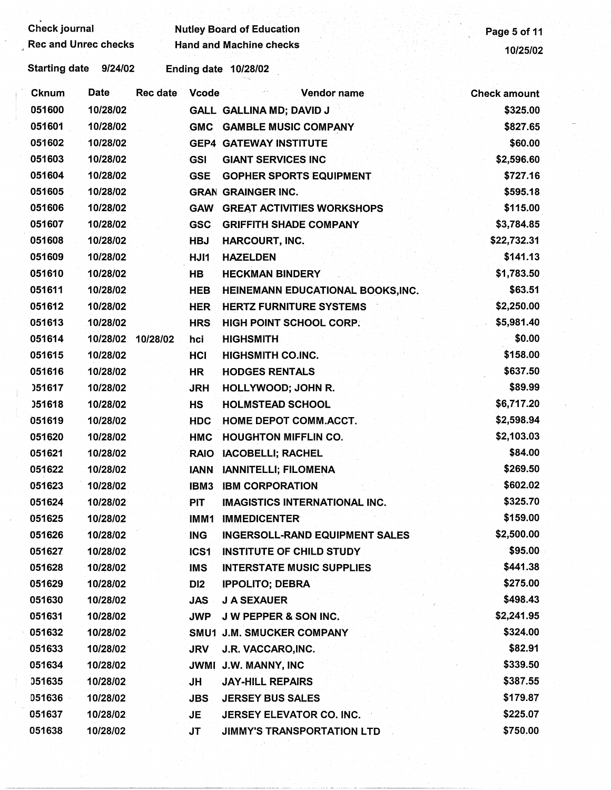| <b>Check journal</b> |                             |                          | <b>Nutley Board of Education</b>                               |                        |
|----------------------|-----------------------------|--------------------------|----------------------------------------------------------------|------------------------|
|                      | <b>Rec and Unrec checks</b> |                          | <b>Hand and Machine checks</b>                                 | Page 5 of 11           |
| <b>Starting date</b> | 9/24/02                     |                          | Ending date 10/28/02                                           | 10/25/02               |
| <b>Cknum</b>         | Date                        | <b>Rec date</b><br>Vcode | Vendor name                                                    | <b>Check amount</b>    |
| 051600               | 10/28/02                    |                          | GALL GALLINA MD; DAVID J                                       | \$325.00               |
| 051601               | 10/28/02                    | <b>GMC</b>               | <b>GAMBLE MUSIC COMPANY</b>                                    | \$827.65               |
| 051602               | 10/28/02                    |                          | <b>GEP4 GATEWAY INSTITUTE</b>                                  | \$60.00                |
| 051603               | 10/28/02                    | <b>GSI</b>               | <b>GIANT SERVICES INC</b>                                      | \$2,596.60             |
| 051604               | 10/28/02                    | <b>GSE</b>               | <b>GOPHER SPORTS EQUIPMENT</b>                                 | \$727.16               |
| 051605               | 10/28/02                    |                          | <b>GRAN GRAINGER INC.</b>                                      | \$595.18               |
| 051606               | 10/28/02                    | <b>GAW</b>               | <b>GREAT ACTIVITIES WORKSHOPS</b>                              | \$115.00               |
| 051607               | 10/28/02                    | <b>GSC</b>               | <b>GRIFFITH SHADE COMPANY</b>                                  | \$3,784.85             |
| 051608               | 10/28/02                    | <b>HBJ</b>               | <b>HARCOURT, INC.</b>                                          | \$22,732.31            |
| 051609               | 10/28/02                    | HJI1                     | <b>HAZELDEN</b>                                                | \$141.13               |
| 051610               | 10/28/02                    | <b>HB</b>                | <b>HECKMAN BINDERY</b>                                         | \$1,783.50             |
| 051611               | 10/28/02                    | <b>HEB</b>               | HEINEMANN EDUCATIONAL BOOKS, INC.                              | \$63.51                |
| 051612               | 10/28/02                    | HER                      | <b>HERTZ FURNITURE SYSTEMS</b>                                 | \$2,250.00             |
| 051613               | 10/28/02                    | <b>HRS</b>               | HIGH POINT SCHOOL CORP.                                        | \$5,981.40             |
| 051614               | 10/28/02                    | 10/28/02<br>hci          | <b>HIGHSMITH</b>                                               | \$0.00                 |
| 051615               | 10/28/02                    | HCI                      | <b>HIGHSMITH CO.INC.</b>                                       | \$158.00               |
| 051616               | 10/28/02                    | HR.                      | <b>HODGES RENTALS</b>                                          | \$637.50               |
| 051617               | 10/28/02                    | <b>JRH</b>               | HOLLYWOOD; JOHN R.                                             | \$89.99                |
| <b>J51618</b>        | 10/28/02                    | <b>HS</b>                | <b>HOLMSTEAD SCHOOL</b>                                        | \$6,717.20             |
| 051619               | 10/28/02                    | <b>HDC</b>               | HOME DEPOT COMM.ACCT.                                          | \$2,598.94             |
| 051620               | 10/28/02                    | <b>HMC</b>               | <b>HOUGHTON MIFFLIN CO.</b>                                    | \$2,103.03             |
| 051621               | 10/28/02                    |                          | IACOBELLI; RACHEL                                              | \$84.00                |
| 051622               | 10/28/02                    | <b>RAIO</b>              | <b>IANNITELLI: FILOMENA</b>                                    | \$269.50               |
| 051623               | 10/28/02                    | <b>IANN</b>              |                                                                | \$602.02               |
| 051624               | 10/28/02                    | IBM3                     | <b>IBM CORPORATION</b><br><b>IMAGISTICS INTERNATIONAL INC.</b> | \$325.70               |
|                      |                             | <b>PIT</b>               |                                                                | \$159.00               |
| 051625               | 10/28/02                    | IMM1                     | <b>IMMEDICENTER</b>                                            | \$2,500.00             |
| 051626               | 10/28/02                    | <b>ING</b>               | <b>INGERSOLL-RAND EQUIPMENT SALES</b>                          | \$95.00                |
| 051627               | 10/28/02                    | ICS <sub>1</sub>         | <b>INSTITUTE OF CHILD STUDY</b>                                | \$441.38               |
| 051628               | 10/28/02                    | <b>IMS</b>               | <b>INTERSTATE MUSIC SUPPLIES</b>                               | \$275.00               |
| 051629               | 10/28/02                    | DI <sub>2</sub>          | <b>IPPOLITO; DEBRA</b>                                         | \$498.43               |
| 051630               | 10/28/02                    | <b>JAS</b>               | <b>J A SEXAUER</b>                                             |                        |
| 051631<br>051632     | 10/28/02                    | <b>JWP</b>               | <b>J W PEPPER &amp; SON INC.</b>                               | \$2,241.95<br>\$324.00 |
|                      | 10/28/02                    |                          | SMU1 J.M. SMUCKER COMPANY                                      |                        |
| 051633               | 10/28/02                    | <b>JRV</b>               | J.R. VACCARO, INC.                                             | \$82.91                |
| 051634               | 10/28/02                    |                          | JWMI J.W. MANNY, INC                                           | \$339.50               |
| 051635               | 10/28/02                    | JH                       | <b>JAY-HILL REPAIRS</b>                                        | \$387.55               |
| 051636               | 10/28/02                    | <b>JBS</b>               | <b>JERSEY BUS SALES</b>                                        | \$179.87               |
| 051637               | 10/28/02                    | JE.                      | JERSEY ELEVATOR CO. INC.                                       | \$225.07               |
| 051638               | 10/28/02                    | JT                       | JIMMY'S TRANSPORTATION LTD                                     | \$750.00               |
|                      |                             |                          |                                                                |                        |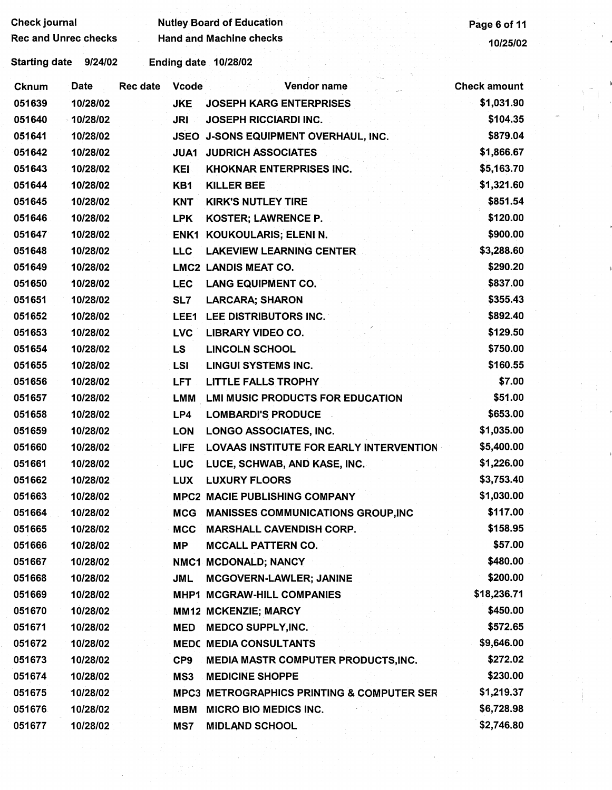| <b>Check journal</b>        |             |                 |                 | <b>Nutley Board of Education</b>                      | Page 6 of 11        |
|-----------------------------|-------------|-----------------|-----------------|-------------------------------------------------------|---------------------|
| <b>Rec and Unrec checks</b> |             |                 |                 | <b>Hand and Machine checks</b>                        | 10/25/02            |
| <b>Starting date</b>        | 9/24/02     |                 |                 | Ending date 10/28/02                                  |                     |
| Cknum                       | <b>Date</b> | <b>Rec date</b> | <b>Vcode</b>    | Vendor name                                           | <b>Check amount</b> |
| 051639                      | 10/28/02    |                 | <b>JKE</b>      | <b>JOSEPH KARG ENTERPRISES</b>                        | \$1,031.90          |
| 051640                      | $-10/28/02$ |                 | <b>JRI</b>      | <b>JOSEPH RICCIARDI INC.</b>                          | \$104.35            |
| 051641                      | 10/28/02    |                 | <b>JSEO</b>     | J-SONS EQUIPMENT OVERHAUL, INC.                       | \$879.04            |
| 051642                      | 10/28/02    |                 | JUA1            | <b>JUDRICH ASSOCIATES</b>                             | \$1,866.67          |
| 051643                      | 10/28/02    |                 | <b>KEI</b>      | <b>KHOKNAR ENTERPRISES INC.</b>                       | \$5,163.70          |
| 051644                      | 10/28/02    |                 | KB1             | <b>KILLER BEE</b>                                     | \$1,321.60          |
| 051645                      | 10/28/02    |                 | <b>KNT</b>      | <b>KIRK'S NUTLEY TIRE</b>                             | \$851.54            |
| 051646                      | 10/28/02    |                 | <b>LPK</b>      | KOSTER; LAWRENCE P.                                   | \$120.00            |
| 051647                      | 10/28/02    |                 | ENK1            | KOUKOULARIS; ELENI N.                                 | \$900.00            |
| 051648                      | 10/28/02    |                 | <b>LLC</b>      | <b>LAKEVIEW LEARNING CENTER</b>                       | \$3,288.60          |
| 051649                      | 10/28/02    |                 |                 | <b>LMC2 LANDIS MEAT CO.</b>                           | \$290.20            |
| 051650                      | 10/28/02    |                 | <b>LEC</b>      | <b>LANG EQUIPMENT CO.</b>                             | \$837.00            |
| 051651                      | 10/28/02    |                 | SL7             | <b>LARCARA; SHARON</b>                                | \$355.43            |
| 051652                      | 10/28/02    |                 | LEE1            | LEE DISTRIBUTORS INC.                                 | \$892.40            |
| 051653                      | 10/28/02    |                 | <b>LVC</b>      | <b>LIBRARY VIDEO CO.</b>                              | \$129.50            |
| 051654                      | 10/28/02    |                 | LS              | <b>LINCOLN SCHOOL</b>                                 | \$750.00            |
| 051655                      | 10/28/02    |                 | LSI             | <b>LINGUI SYSTEMS INC.</b>                            | \$160.55            |
| 051656                      | 10/28/02    |                 | <b>LFT</b>      | <b>LITTLE FALLS TROPHY</b>                            | \$7.00              |
| 051657                      | 10/28/02    |                 | LMM             | <b>LMI MUSIC PRODUCTS FOR EDUCATION</b>               | \$51.00             |
| 051658                      | 10/28/02    |                 | LP4             | <b>LOMBARDI'S PRODUCE</b>                             | \$653.00            |
| 051659                      | 10/28/02    |                 | <b>LON</b>      | <b>LONGO ASSOCIATES, INC.</b>                         | \$1,035.00          |
| 051660                      | 10/28/02    |                 | <b>LIFE</b>     | <b>LOVAAS INSTITUTE FOR EARLY INTERVENTION</b>        | \$5,400.00          |
| 051661                      | 10/28/02    |                 | <b>LUC</b>      | LUCE, SCHWAB, AND KASE, INC.                          | \$1,226.00          |
| 051662                      | 10/28/02    |                 | <b>LUX</b>      | <b>LUXURY FLOORS</b>                                  | \$3,753.40          |
| 051663                      | 10/28/02    |                 |                 | <b>MPC2 MACIE PUBLISHING COMPANY</b>                  | \$1,030.00          |
| 051664                      | 10/28/02    |                 |                 | MCG MANISSES COMMUNICATIONS GROUP, INC                | \$117.00            |
| 051665                      | 10/28/02    |                 | <b>MCC</b>      | <b>MARSHALL CAVENDISH CORP.</b>                       | \$158.95            |
| 051666                      | 10/28/02    |                 | <b>MP</b>       | <b>MCCALL PATTERN CO.</b>                             | \$57.00             |
| 051667                      | 10/28/02    |                 |                 | NMC1 MCDONALD; NANCY                                  | \$480.00            |
| 051668                      | 10/28/02    |                 | <b>JML</b>      | <b>MCGOVERN-LAWLER; JANINE</b>                        | \$200.00            |
| 051669                      | 10/28/02    |                 |                 | MHP1 MCGRAW-HILL COMPANIES                            | \$18,236.71         |
| 051670                      | 10/28/02    |                 |                 | <b>MM12 MCKENZIE; MARCY</b>                           | \$450.00            |
| 051671                      | 10/28/02    |                 | MED             | <b>MEDCO SUPPLY, INC.</b>                             | \$572.65            |
| 051672                      | 10/28/02    |                 |                 | <b>MEDC MEDIA CONSULTANTS</b>                         | \$9,646.00          |
| 051673                      | 10/28/02    |                 | CP <sub>9</sub> | <b>MEDIA MASTR COMPUTER PRODUCTS, INC.</b>            | \$272.02            |
| 051674                      | 10/28/02    |                 | MS3             | <b>MEDICINE SHOPPE</b>                                | \$230.00            |
| 051675                      | 10/28/02    |                 |                 | <b>MPC3 METROGRAPHICS PRINTING &amp; COMPUTER SER</b> | \$1,219.37          |
| 051676                      | 10/28/02    |                 | MBM             | <b>MICRO BIO MEDICS INC.</b>                          | \$6,728.98          |
| 051677                      | 10/28/02    |                 | MS7             | <b>MIDLAND SCHOOL</b>                                 | \$2,746.80          |

 $\frac{1}{2}$  .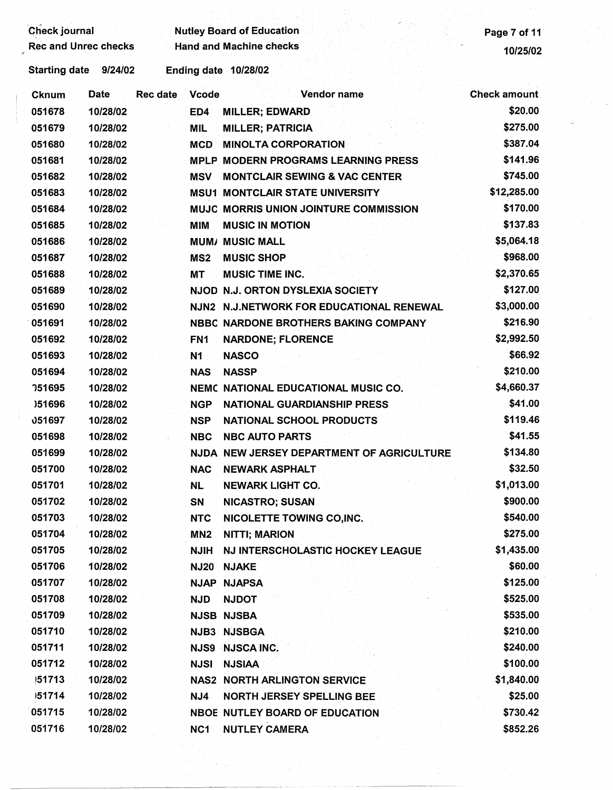| Check journal               |             |          |                 | <b>Nutley Board of Education</b>           | Page 7 of 11        |
|-----------------------------|-------------|----------|-----------------|--------------------------------------------|---------------------|
| <b>Rec and Unrec checks</b> |             |          |                 | <b>Hand and Machine checks</b>             | 10/25/02            |
| <b>Starting date</b>        | 9/24/02     |          |                 | Ending date 10/28/02                       |                     |
| <b>Cknum</b>                | <b>Date</b> | Rec date | Vcode           | Vendor name                                | <b>Check amount</b> |
| 051678                      | 10/28/02    |          | ED4             | <b>MILLER; EDWARD</b>                      | \$20.00             |
| 051679                      | 10/28/02    |          | <b>MIL</b>      | <b>MILLER; PATRICIA</b>                    | \$275.00            |
| 051680                      | 10/28/02    |          | <b>MCD</b>      | <b>MINOLTA CORPORATION</b>                 | \$387.04            |
| 051681                      | 10/28/02    |          |                 | <b>MPLP MODERN PROGRAMS LEARNING PRESS</b> | \$141.96            |
| 051682                      | 10/28/02    |          | MSV             | <b>MONTCLAIR SEWING &amp; VAC CENTER</b>   | \$745.00            |
| 051683                      | 10/28/02    |          |                 | <b>MSU1 MONTCLAIR STATE UNIVERSITY</b>     | \$12,285.00         |
| 051684                      | 10/28/02    |          |                 | MUJC MORRIS UNION JOINTURE COMMISSION      | \$170.00            |
| 051685                      | 10/28/02    |          | <b>MIM</b>      | <b>MUSIC IN MOTION</b>                     | \$137.83            |
| 051686                      | 10/28/02    |          |                 | <b>MUM/ MUSIC MALL</b>                     | \$5,064.18          |
| 051687                      | 10/28/02    |          | MS <sub>2</sub> | <b>MUSIC SHOP</b>                          | \$968.00            |
| 051688                      | 10/28/02    |          | <b>MT</b>       | <b>MUSIC TIME INC.</b>                     | \$2,370.65          |
| 051689                      | 10/28/02    |          |                 | NJOD N.J. ORTON DYSLEXIA SOCIETY           | \$127.00            |
| 051690                      | 10/28/02    |          |                 | NJN2 N.J.NETWORK FOR EDUCATIONAL RENEWAL   | \$3,000.00          |
| 051691                      | 10/28/02    |          |                 | NBBC NARDONE BROTHERS BAKING COMPANY       | \$216.90            |
| 051692                      | 10/28/02    |          | FN <sub>1</sub> | <b>NARDONE; FLORENCE</b>                   | \$2,992.50          |
| 051693                      | 10/28/02    |          | <b>N1</b>       | <b>NASCO</b>                               | \$66.92             |
| 051694                      | 10/28/02    |          | <b>NAS</b>      | <b>NASSP</b>                               | \$210.00            |
| 151695                      | 10/28/02    |          |                 | NEMC NATIONAL EDUCATIONAL MUSIC CO.        | \$4,660.37          |
| )51696                      | 10/28/02    |          | <b>NGP</b>      | <b>NATIONAL GUARDIANSHIP PRESS</b>         | \$41.00             |
| 051697                      | 10/28/02    |          | <b>NSP</b>      | <b>NATIONAL SCHOOL PRODUCTS</b>            | \$119.46            |
| 051698                      | 10/28/02    |          | <b>NBC</b>      | <b>NBC AUTO PARTS</b>                      | \$41.55             |
| 051699                      | 10/28/02    |          |                 | NJDA NEW JERSEY DEPARTMENT OF AGRICULTURE  | \$134.80            |
| 051700                      | 10/28/02    |          |                 | NAC NEWARK ASPHALT                         | \$32.50             |
| 051701                      | 10/28/02    |          | <b>NL</b>       | <b>NEWARK LIGHT CO.</b>                    | \$1,013.00          |
| 051702                      | 10/28/02    |          | <b>SN</b>       | <b>NICASTRO; SUSAN</b>                     | \$900.00            |
| 051703                      | 10/28/02    |          | <b>NTC</b>      | <b>NICOLETTE TOWING CO, INC.</b>           | \$540.00            |
| 051704                      | 10/28/02    |          | MN <sub>2</sub> | <b>NITTI; MARION</b>                       | \$275.00            |
| 051705                      | 10/28/02    |          | <b>NJIH</b>     | NJ INTERSCHOLASTIC HOCKEY LEAGUE           | \$1,435.00          |
| 051706                      | 10/28/02    |          | <b>NJ20</b>     | <b>NJAKE</b>                               | \$60.00             |
| 051707                      | 10/28/02    |          |                 | <b>NJAP NJAPSA</b>                         | \$125.00            |
| 051708                      | 10/28/02    |          | <b>NJD</b>      | <b>NJDOT</b>                               | \$525.00            |
| 051709                      | 10/28/02    |          |                 | <b>NJSB NJSBA</b>                          | \$535.00            |
| 051710                      | 10/28/02    |          |                 | NJB3 NJSBGA                                | \$210.00            |
| 051711                      | 10/28/02    |          |                 | <b>NJS9 NJSCA INC.</b>                     | \$240.00            |
| 051712                      | 10/28/02    |          | <b>NJSI</b>     | <b>NJSIAA</b>                              | \$100.00            |
| 151713                      | 10/28/02    |          |                 | <b>NAS2 NORTH ARLINGTON SERVICE</b>        | \$1,840.00          |
| 151714                      | 10/28/02    |          | NJ4             | <b>NORTH JERSEY SPELLING BEE</b>           | \$25.00             |
| 051715                      | 10/28/02    |          |                 | NBOE NUTLEY BOARD OF EDUCATION             | \$730.42            |
| 051716                      | 10/28/02    |          | NC <sub>1</sub> | <b>NUTLEY CAMERA</b>                       | \$852.26            |
|                             |             |          |                 |                                            |                     |
|                             |             |          |                 |                                            |                     |
|                             |             |          |                 |                                            |                     |

 $\boldsymbol{\beta}$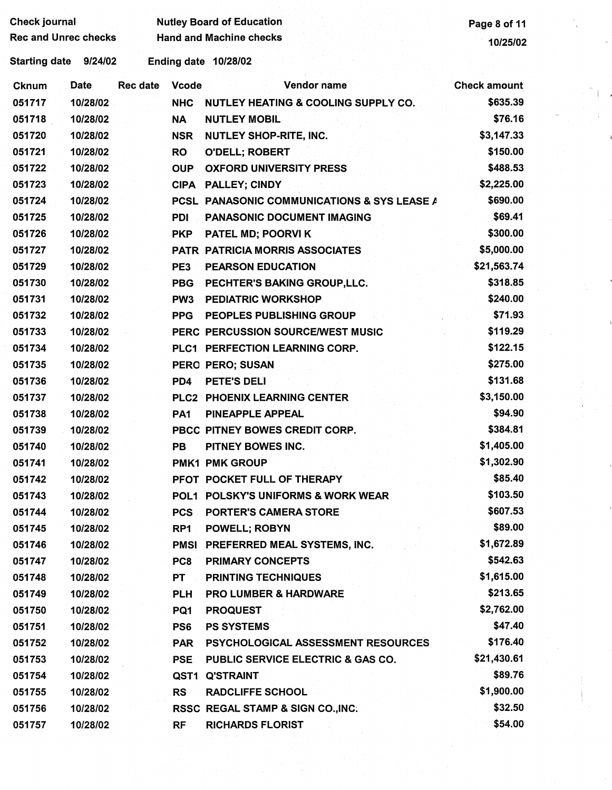| <b>Check journal</b><br><b>Rec and Unrec checks</b> |             |                 |                 | <b>Nutley Board of Education</b><br><b>Hand and Machine checks</b> | Page 8 of 11        |  |
|-----------------------------------------------------|-------------|-----------------|-----------------|--------------------------------------------------------------------|---------------------|--|
|                                                     |             |                 |                 |                                                                    | 10/25/02            |  |
| Starting date 9/24/02                               |             |                 |                 | Ending date 10/28/02                                               |                     |  |
| <b>Cknum</b>                                        | <b>Date</b> | <b>Rec date</b> | <b>Vcode</b>    | Vendor name                                                        | <b>Check amount</b> |  |
| 051717                                              | 10/28/02    |                 | <b>NHC</b>      | NUTLEY HEATING & COOLING SUPPLY CO.                                | \$635.39            |  |
| 051718                                              | 10/28/02    |                 | <b>NA</b>       | <b>NUTLEY MOBIL</b>                                                | \$76.16             |  |
| 051720                                              | 10/28/02    |                 | <b>NSR</b>      | NUTLEY SHOP-RITE, INC.                                             | \$3,147.33          |  |
| 051721                                              | 10/28/02    |                 | <b>RO</b>       | O'DELL; ROBERT                                                     | \$150.00            |  |
| 051722                                              | 10/28/02    |                 | <b>OUP</b>      | <b>OXFORD UNIVERSITY PRESS</b>                                     | \$488.53            |  |
| 051723                                              | 10/28/02    |                 |                 | CIPA PALLEY; CINDY                                                 | \$2,225.00          |  |
| 051724                                              | 10/28/02    |                 |                 | PCSL PANASONIC COMMUNICATIONS & SYS LEASE A                        | \$690.00            |  |
| 051725                                              | 10/28/02    |                 | <b>PDI</b>      | PANASONIC DOCUMENT IMAGING                                         | \$69.41             |  |
| 051726                                              | 10/28/02    |                 | <b>PKP</b>      | PATEL MD; POORVI K                                                 | \$300.00            |  |
| 051727                                              | 10/28/02    |                 |                 | PATR PATRICIA MORRIS ASSOCIATES                                    | \$5,000.00          |  |
| 051729                                              | 10/28/02    |                 | PE3             | <b>PEARSON EDUCATION</b>                                           | \$21,563.74         |  |
| 051730                                              | 10/28/02    |                 | <b>PBG</b>      | PECHTER'S BAKING GROUP, LLC.                                       | \$318.85            |  |
| 051731                                              | 10/28/02    |                 | PW <sub>3</sub> | <b>PEDIATRIC WORKSHOP</b>                                          | \$240.00            |  |
| 051732                                              | 10/28/02    |                 | <b>PPG</b>      | PEOPLES PUBLISHING GROUP                                           | \$71.93             |  |
| 051733                                              | 10/28/02    |                 |                 | PERC PERCUSSION SOURCE/WEST MUSIC                                  | \$119.29            |  |
| 051734                                              | 10/28/02    |                 |                 | PLC1 PERFECTION LEARNING CORP.                                     | \$122.15            |  |
| 051735                                              | 10/28/02    |                 |                 | PERO PERO; SUSAN                                                   | \$275.00            |  |
| 051736                                              | 10/28/02    |                 | PD4             | PETE'S DELI                                                        | \$131.68            |  |
| 051737                                              | 10/28/02    |                 |                 | <b>PLC2 PHOENIX LEARNING CENTER</b>                                | \$3,150.00          |  |
| 051738                                              | 10/28/02    |                 | PA <sub>1</sub> | PINEAPPLE APPEAL                                                   | \$94.90             |  |
| 051739                                              | 10/28/02    |                 |                 | PBCC PITNEY BOWES CREDIT CORP.                                     | \$384.81            |  |
| 051740                                              | 10/28/02    |                 | <b>PB</b>       | PITNEY BOWES INC.                                                  | \$1,405.00          |  |
| 051741                                              | 10/28/02    |                 |                 | <b>PMK1 PMK GROUP</b>                                              | \$1,302.90          |  |
| 051742                                              | 10/28/02    |                 |                 | PFOT POCKET FULL OF THERAPY                                        | \$85.40             |  |
| 051743                                              | 10/28/02    |                 |                 | POL1 POLSKY'S UNIFORMS & WORK WEAR                                 | \$103.50            |  |
| 051744                                              | 10/28/02    |                 |                 | <b>PCS PORTER'S CAMERA STORE</b>                                   | \$607.53            |  |
| 051745                                              | 10/28/02    |                 | RP <sub>1</sub> | <b>POWELL; ROBYN</b>                                               | \$89.00             |  |
| 051746                                              | 10/28/02    |                 |                 | PMSI PREFERRED MEAL SYSTEMS, INC.                                  | \$1,672.89          |  |
| 051747                                              | 10/28/02    |                 | PC8             | <b>PRIMARY CONCEPTS</b>                                            | \$542.63            |  |
| 051748                                              | 10/28/02    |                 | <b>PT</b>       | <b>PRINTING TECHNIQUES</b>                                         | \$1,615.00          |  |
| 051749                                              | 10/28/02    |                 | <b>PLH</b>      | <b>PRO LUMBER &amp; HARDWARE</b>                                   | \$213.65            |  |
| 051750                                              | 10/28/02    |                 | PQ1             | <b>PROQUEST</b>                                                    | \$2,762.00          |  |
| 051751                                              | 10/28/02    |                 | PS6             | <b>PS SYSTEMS</b>                                                  | \$47.40             |  |
| 051752                                              | 10/28/02    |                 | <b>PAR</b>      | PSYCHOLOGICAL ASSESSMENT RESOURCES                                 | \$176.40            |  |
| 051753                                              | 10/28/02    |                 | <b>PSE</b>      | PUBLIC SERVICE ELECTRIC & GAS CO.                                  | \$21,430.61         |  |
| 051754                                              | 10/28/02    |                 |                 | QST1 Q'STRAINT                                                     | \$89.76             |  |
| 051755                                              | 10/28/02    |                 | <b>RS</b>       | <b>RADCLIFFE SCHOOL</b>                                            | \$1,900.00          |  |
| 051756                                              | 10/28/02    |                 |                 | RSSC REGAL STAMP & SIGN CO., INC.                                  | \$32.50             |  |
| 051757                                              | 10/28/02    |                 | <b>RF</b>       | <b>RICHARDS FLORIST</b>                                            | \$54.00             |  |
|                                                     |             |                 |                 |                                                                    |                     |  |
|                                                     |             |                 |                 |                                                                    |                     |  |
|                                                     |             |                 |                 |                                                                    |                     |  |
|                                                     |             |                 |                 |                                                                    |                     |  |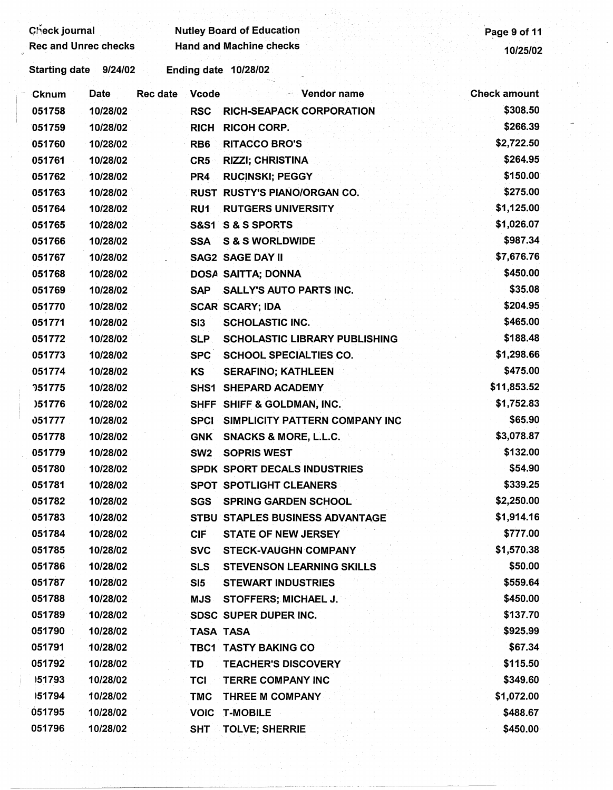| Check journal               |                      |          |                 | <b>Nutley Board of Education</b>     | Page 9 of 11        |
|-----------------------------|----------------------|----------|-----------------|--------------------------------------|---------------------|
| <b>Rec and Unrec checks</b> |                      |          |                 | <b>Hand and Machine checks</b>       | 10/25/02            |
| Starting date 9/24/02       |                      |          |                 | Ending date 10/28/02                 |                     |
| Cknum                       | <b>Date</b>          | Rec date | <b>Vcode</b>    | <b>Solution Vendor name</b>          | <b>Check amount</b> |
| 051758                      | 10/28/02             |          | <b>RSC</b>      | <b>RICH-SEAPACK CORPORATION</b>      | \$308.50            |
| 051759                      | 10/28/02             |          | <b>RICH</b>     | <b>RICOH CORP.</b>                   | \$266.39            |
| 051760                      | 10/28/02             |          | RB <sub>6</sub> | <b>RITACCO BRO'S</b>                 | \$2,722.50          |
| 051761                      | 10/28/02             |          | CR <sub>5</sub> | <b>RIZZI; CHRISTINA</b>              | \$264.95            |
| 051762                      | 10/28/02             |          | PR4             | <b>RUCINSKI; PEGGY</b>               | \$150.00            |
| 051763                      | 10/28/02             |          |                 | <b>RUST RUSTY'S PIANO/ORGAN CO.</b>  | \$275.00            |
| 051764                      | 10/28/02             |          | RU1             | <b>RUTGERS UNIVERSITY</b>            | \$1,125.00          |
| 051765                      | 10/28/02             |          |                 | S&S1 S & S SPORTS                    | \$1,026.07          |
| 051766                      | 10/28/02             |          | <b>SSA</b>      | <b>S &amp; S WORLDWIDE</b>           | \$987.34            |
| 051767                      | 10/28/02             |          |                 | <b>SAG2 SAGE DAY II</b>              | \$7,676.76          |
| 051768                      | 10/28/02             |          |                 | DOSA SAITTA; DONNA                   | \$450.00            |
| 051769                      | 10/28/02             |          | <b>SAP</b>      | <b>SALLY'S AUTO PARTS INC.</b>       | \$35.08             |
| 051770                      | 10/28/02             |          |                 | <b>SCAR SCARY; IDA</b>               | \$204.95            |
| 051771                      | 10/28/02             |          | SI3             | <b>SCHOLASTIC INC.</b>               | \$465.00            |
| 051772                      | 10/28/02             |          | <b>SLP</b>      | <b>SCHOLASTIC LIBRARY PUBLISHING</b> | \$188.48            |
| 051773                      | 10/28/02             |          | <b>SPC</b>      | <b>SCHOOL SPECIALTIES CO.</b>        | \$1,298.66          |
| 051774                      | 10/28/02             |          | <b>KS</b>       | <b>SERAFINO; KATHLEEN</b>            | \$475.00            |
| <b>051775</b>               | 10/28/02             |          |                 | SHS1 SHEPARD ACADEMY                 | \$11,853.52         |
| )51776                      | 10/28/02             |          |                 | SHFF SHIFF & GOLDMAN, INC.           | \$1,752.83          |
| 051777                      | 10/28/02             |          | <b>SPCI</b>     | SIMPLICITY PATTERN COMPANY INC       | \$65.90             |
| 051778                      | 10/28/02             |          | <b>GNK</b>      | <b>SNACKS &amp; MORE, L.L.C.</b>     | \$3,078.87          |
| 051779                      | 10/28/02             |          | SW <sub>2</sub> | <b>SOPRIS WEST</b>                   | \$132.00            |
| 051780                      | 10/28/02             |          |                 | SPDK SPORT DECALS INDUSTRIES         | \$54.90             |
| 051781                      | 10/28/02             |          |                 | <b>SPOT SPOTLIGHT CLEANERS</b>       | \$339.25            |
| 051782                      | 10/28/02             |          | <b>SGS</b>      | <b>SPRING GARDEN SCHOOL</b>          | \$2,250.00          |
| 051783                      | 10/28/02             |          |                 | STBU STAPLES BUSINESS ADVANTAGE      | \$1,914.16          |
| 051784                      | 10/28/02             |          | <b>CIF</b>      | <b>STATE OF NEW JERSEY</b>           | \$777.00            |
| 051785                      | 10/28/02             |          | <b>SVC</b>      | <b>STECK-VAUGHN COMPANY</b>          | \$1,570.38          |
| 051786                      | 10/28/02             |          | <b>SLS</b>      | <b>STEVENSON LEARNING SKILLS</b>     | \$50.00             |
| 051787                      | 10/28/02             |          |                 | <b>STEWART INDUSTRIES</b>            | \$559.64            |
| 051788                      | 10/28/02             |          | SI5             |                                      | \$450.00            |
| 051789                      |                      |          | <b>MJS</b>      | STOFFERS; MICHAEL J.                 | \$137.70            |
| 051790                      | 10/28/02<br>10/28/02 |          |                 | SDSC SUPER DUPER INC.                | \$925.99            |
| 051791                      |                      |          |                 | <b>TASA TASA</b>                     | \$67.34             |
|                             | 10/28/02             |          |                 | TBC1 TASTY BAKING CO                 |                     |
| 051792                      | 10/28/02             |          | TD              | <b>TEACHER'S DISCOVERY</b>           | \$115.50            |
| 151793                      | 10/28/02             |          | TCI             | <b>TERRE COMPANY INC</b>             | \$349.60            |
| 51794                       | 10/28/02             |          | <b>TMC</b>      | THREE M COMPANY                      | \$1,072.00          |
| 051795                      | 10/28/02             |          | <b>VOIC</b>     | <b>T-MOBILE</b>                      | \$488.67            |
| 051796                      | 10/28/02             |          | <b>SHT</b>      | <b>TOLVE; SHERRIE</b>                | \$450.00            |
|                             |                      |          |                 |                                      |                     |
|                             |                      |          |                 |                                      |                     |
|                             |                      |          |                 |                                      |                     |

 $\frac{1}{2}$ 

 $\frac{1}{2}$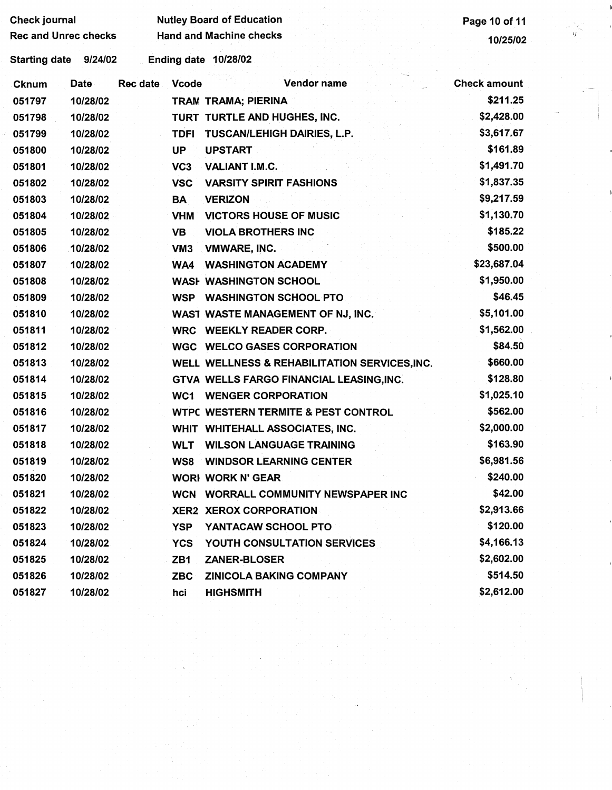| <b>Check journal</b> |                             |          |                 | <b>Nutley Board of Education</b>               | Page 10 of 11       |        |
|----------------------|-----------------------------|----------|-----------------|------------------------------------------------|---------------------|--------|
|                      | <b>Rec and Unrec checks</b> |          |                 | <b>Hand and Machine checks</b>                 | 10/25/02            | $\eta$ |
| <b>Starting date</b> | 9/24/02                     |          |                 | Ending date 10/28/02                           |                     |        |
| <b>Cknum</b>         | <b>Date</b>                 | Rec date | <b>Vcode</b>    | Vendor name                                    | <b>Check amount</b> |        |
| 051797               | 10/28/02                    |          |                 | TRAM TRAMA; PIERINA                            | \$211.25            |        |
| 051798               | 10/28/02                    |          |                 | TURT TURTLE AND HUGHES, INC.                   | \$2,428.00          |        |
| 051799               | 10/28/02                    |          | <b>TDFI</b>     | <b>TUSCAN/LEHIGH DAIRIES, L.P.</b>             | \$3,617.67          |        |
| 051800               | 10/28/02                    |          | <b>UP</b>       | <b>UPSTART</b>                                 | \$161.89            |        |
| 051801               | 10/28/02                    |          | VC <sub>3</sub> | VALIANT I.M.C.                                 | \$1,491.70          |        |
| 051802               | 10/28/02                    |          | <b>VSC</b>      | <b>VARSITY SPIRIT FASHIONS</b>                 | \$1,837.35          |        |
| 051803               | 10/28/02                    |          | <b>BA</b>       | <b>VERIZON</b>                                 | \$9,217.59          |        |
| 051804               | 10/28/02                    |          | <b>VHM</b>      | <b>VICTORS HOUSE OF MUSIC</b>                  | \$1,130.70          |        |
| 051805               | 10/28/02                    |          | VB              | <b>VIOLA BROTHERS INC</b>                      | \$185.22            |        |
| 051806               | 10/28/02                    |          | VM <sub>3</sub> | <b>VMWARE, INC.</b>                            | \$500.00            |        |
| 051807               | 10/28/02                    |          | WA4             | <b>WASHINGTON ACADEMY</b>                      | \$23,687.04         |        |
| 051808               | 10/28/02                    |          |                 | <b>WASH WASHINGTON SCHOOL</b>                  | \$1,950.00          |        |
| 051809               | 10/28/02                    |          |                 | <b>WSP WASHINGTON SCHOOL PTO</b>               | \$46.45             |        |
| 051810               | 10/28/02                    |          |                 | WAST WASTE MANAGEMENT OF NJ, INC.              | \$5,101.00          |        |
| 051811               | 10/28/02                    |          |                 | WRC WEEKLY READER CORP.                        | \$1,562.00          |        |
| 051812               | 10/28/02                    |          |                 | <b>WGC WELCO GASES CORPORATION</b>             | \$84.50             |        |
| 051813               | 10/28/02                    |          |                 | WELL WELLNESS & REHABILITATION SERVICES, INC.  | \$660.00            |        |
| 051814               | 10/28/02                    |          |                 | GTVA WELLS FARGO FINANCIAL LEASING, INC.       | \$128.80            |        |
| 051815               | 10/28/02                    |          |                 | <b>WC1 WENGER CORPORATION</b>                  | \$1,025.10          |        |
| 051816               | 10/28/02                    |          |                 | <b>WTPC WESTERN TERMITE &amp; PEST CONTROL</b> | \$562.00            |        |
| 051817               | 10/28/02                    |          |                 | WHIT WHITEHALL ASSOCIATES, INC.                | \$2,000.00          |        |
| 051818               | 10/28/02                    |          |                 | <b>WLT WILSON LANGUAGE TRAINING</b>            | \$163.90            |        |
| 051819               | 10/28/02                    |          | WS8             | <b>WINDSOR LEARNING CENTER</b>                 | \$6,981.56          |        |
| 051820               | 10/28/02                    |          |                 | <b>WORI WORK N' GEAR</b>                       | \$240.00            |        |
| 051821               | 10/28/02                    |          |                 | WCN WORRALL COMMUNITY NEWSPAPER INC            | \$42.00             |        |
| 051822               | 10/28/02                    |          |                 | <b>XER2 XEROX CORPORATION</b>                  | \$2,913.66          |        |
| 051823               | 10/28/02                    |          | <b>YSP</b>      | YANTACAW SCHOOL PTO                            | \$120.00            |        |
| 051824               | 10/28/02                    |          | <b>YCS</b>      | YOUTH CONSULTATION SERVICES                    | \$4,166.13          |        |
| 051825               | 10/28/02                    |          | ZB1             | ZANER-BLOSER                                   | \$2,602.00          |        |
| 051826               | 10/28/02                    |          | <b>ZBC</b>      | <b>ZINICOLA BAKING COMPANY</b>                 | \$514.50            |        |
| 051827               | 10/28/02                    |          | hci             | <b>HIGHSMITH</b>                               | \$2,612.00          |        |
|                      |                             |          |                 |                                                |                     |        |
|                      |                             |          |                 |                                                |                     |        |
|                      |                             |          |                 |                                                |                     |        |
|                      |                             |          |                 |                                                |                     |        |
|                      |                             |          |                 |                                                |                     |        |
|                      |                             |          |                 |                                                |                     |        |
|                      |                             |          |                 |                                                |                     |        |

 $\begin{pmatrix} 1 & 1 \\ 1 & 1 \end{pmatrix}$